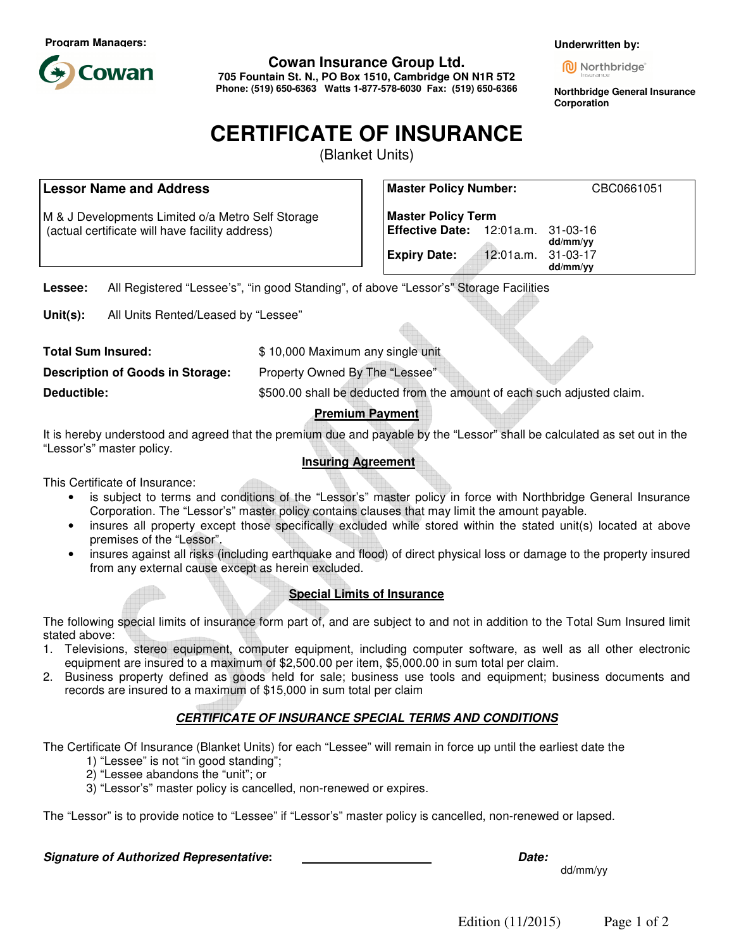**Program Managers:**



**Cowan Insurance Group Ltd.** 

**705 Fountain St. N., PO Box 1510, Cambridge ON N1R 5T2 Phone: (519) 650-6363 Watts 1-877-578-6030 Fax: (519) 650-6366**  **Underwritten by:**

**M** Northbridge

**Northbridge General Insurance Corporation** 

# **CERTIFICATE OF INSURANCE**

(Blanket Units)

## **Lessor Name and Address**

M & J Developments Limited o/a Metro Self Storage (actual certificate will have facility address)

| <b>Master Policy Number:</b>       |                    | CBC0661051 |
|------------------------------------|--------------------|------------|
| <b>Master Policy Term</b>          |                    |            |
| Effective Date: 12:01a.m. 31-03-16 |                    | dd/mm/yy   |
| <b>Expiry Date:</b>                | 12:01a.m. 31-03-17 | dd/mm/yy   |

**Lessee:** All Registered "Lessee's", "in good Standing", of above "Lessor's" Storage Facilities

**Unit(s):** All Units Rented/Leased by "Lessee"

**Total Sum Insured:**  $$ 10,000$  Maximum any single unit

**Description of Goods in Storage:** Property Owned By The "Lessee"

**Deductible: Example 2018** S500.00 shall be deducted from the amount of each such adjusted claim.

**Premium Payment** 

It is hereby understood and agreed that the premium due and payable by the "Lessor" shall be calculated as set out in the "Lessor's" master policy.

## **Insuring Agreement**

This Certificate of Insurance:

- is subject to terms and conditions of the "Lessor's" master policy in force with Northbridge General Insurance Corporation. The "Lessor's" master policy contains clauses that may limit the amount payable.
- insures all property except those specifically excluded while stored within the stated unit(s) located at above premises of the "Lessor".
- insures against all risks (including earthquake and flood) of direct physical loss or damage to the property insured from any external cause except as herein excluded.

## **Special Limits of Insurance**

The following special limits of insurance form part of, and are subject to and not in addition to the Total Sum Insured limit stated above:

- 1. Televisions, stereo equipment, computer equipment, including computer software, as well as all other electronic equipment are insured to a maximum of \$2,500.00 per item, \$5,000.00 in sum total per claim.
- 2. Business property defined as goods held for sale; business use tools and equipment; business documents and records are insured to a maximum of \$15,000 in sum total per claim

# **CERTIFICATE OF INSURANCE SPECIAL TERMS AND CONDITIONS**

The Certificate Of Insurance (Blanket Units) for each "Lessee" will remain in force up until the earliest date the

- 1) "Lessee" is not "in good standing";
- 2) "Lessee abandons the "unit"; or
- 3) "Lessor's" master policy is cancelled, non-renewed or expires.

The "Lessor" is to provide notice to "Lessee" if "Lessor's" master policy is cancelled, non-renewed or lapsed.

## **Signature of Authorized Representative: Date:**

dd/mm/yy